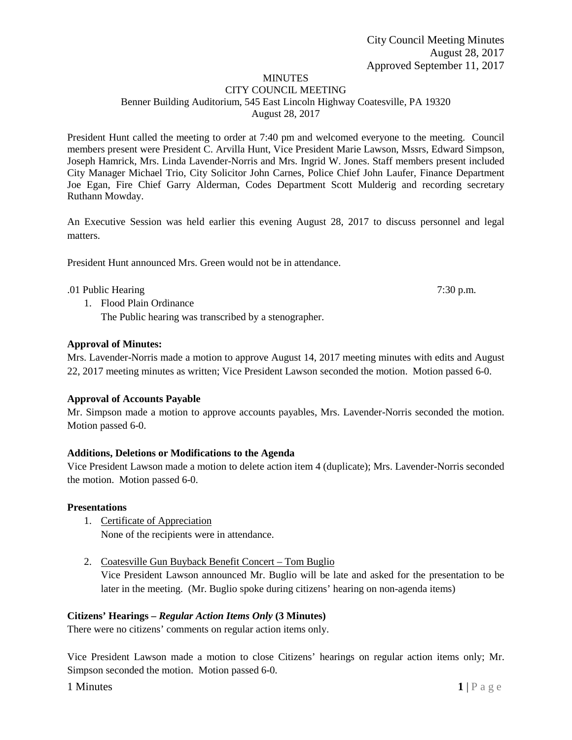# **MINUTES**

#### CITY COUNCIL MEETING Benner Building Auditorium, 545 East Lincoln Highway Coatesville, PA 19320 August 28, 2017

President Hunt called the meeting to order at 7:40 pm and welcomed everyone to the meeting. Council members present were President C. Arvilla Hunt, Vice President Marie Lawson, Mssrs, Edward Simpson, Joseph Hamrick, Mrs. Linda Lavender-Norris and Mrs. Ingrid W. Jones. Staff members present included City Manager Michael Trio, City Solicitor John Carnes, Police Chief John Laufer, Finance Department Joe Egan, Fire Chief Garry Alderman, Codes Department Scott Mulderig and recording secretary Ruthann Mowday.

An Executive Session was held earlier this evening August 28, 2017 to discuss personnel and legal matters.

President Hunt announced Mrs. Green would not be in attendance.

### .01 Public Hearing 7:30 p.m.

1. Flood Plain Ordinance The Public hearing was transcribed by a stenographer.

## **Approval of Minutes:**

Mrs. Lavender-Norris made a motion to approve August 14, 2017 meeting minutes with edits and August 22, 2017 meeting minutes as written; Vice President Lawson seconded the motion. Motion passed 6-0.

## **Approval of Accounts Payable**

Mr. Simpson made a motion to approve accounts payables, Mrs. Lavender-Norris seconded the motion. Motion passed 6-0.

## **Additions, Deletions or Modifications to the Agenda**

Vice President Lawson made a motion to delete action item 4 (duplicate); Mrs. Lavender-Norris seconded the motion. Motion passed 6-0.

## **Presentations**

- 1. Certificate of Appreciation None of the recipients were in attendance.
- 2. Coatesville Gun Buyback Benefit Concert Tom Buglio

Vice President Lawson announced Mr. Buglio will be late and asked for the presentation to be later in the meeting. (Mr. Buglio spoke during citizens' hearing on non-agenda items)

## **Citizens' Hearings –** *Regular Action Items Only* **(3 Minutes)**

There were no citizens' comments on regular action items only.

Vice President Lawson made a motion to close Citizens' hearings on regular action items only; Mr. Simpson seconded the motion. Motion passed 6-0.

**1** Minutes **1** | P a g e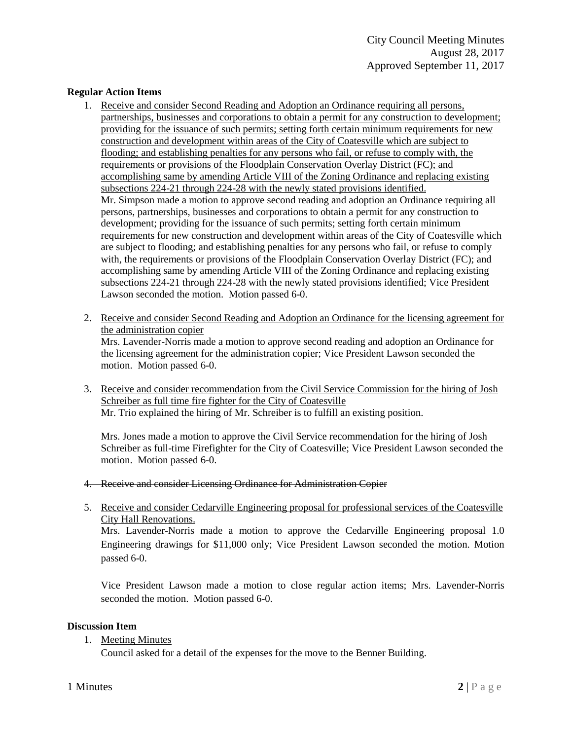### **Regular Action Items**

- 1. Receive and consider Second Reading and Adoption an Ordinance requiring all persons, partnerships, businesses and corporations to obtain a permit for any construction to development; providing for the issuance of such permits; setting forth certain minimum requirements for new construction and development within areas of the City of Coatesville which are subject to flooding; and establishing penalties for any persons who fail, or refuse to comply with, the requirements or provisions of the Floodplain Conservation Overlay District (FC); and accomplishing same by amending Article VIII of the Zoning Ordinance and replacing existing subsections 224-21 through 224-28 with the newly stated provisions identified. Mr. Simpson made a motion to approve second reading and adoption an Ordinance requiring all persons, partnerships, businesses and corporations to obtain a permit for any construction to development; providing for the issuance of such permits; setting forth certain minimum requirements for new construction and development within areas of the City of Coatesville which are subject to flooding; and establishing penalties for any persons who fail, or refuse to comply with, the requirements or provisions of the Floodplain Conservation Overlay District (FC); and accomplishing same by amending Article VIII of the Zoning Ordinance and replacing existing subsections 224-21 through 224-28 with the newly stated provisions identified; Vice President Lawson seconded the motion. Motion passed 6-0.
- 2. Receive and consider Second Reading and Adoption an Ordinance for the licensing agreement for the administration copier Mrs. Lavender-Norris made a motion to approve second reading and adoption an Ordinance for

the licensing agreement for the administration copier; Vice President Lawson seconded the motion. Motion passed 6-0.

3. Receive and consider recommendation from the Civil Service Commission for the hiring of Josh Schreiber as full time fire fighter for the City of Coatesville Mr. Trio explained the hiring of Mr. Schreiber is to fulfill an existing position.

Mrs. Jones made a motion to approve the Civil Service recommendation for the hiring of Josh Schreiber as full-time Firefighter for the City of Coatesville; Vice President Lawson seconded the motion. Motion passed 6-0.

- 4. Receive and consider Licensing Ordinance for Administration Copier
- 5. Receive and consider Cedarville Engineering proposal for professional services of the Coatesville City Hall Renovations. Mrs. Lavender-Norris made a motion to approve the Cedarville Engineering proposal 1.0 Engineering drawings for \$11,000 only; Vice President Lawson seconded the motion. Motion passed 6-0.

Vice President Lawson made a motion to close regular action items; Mrs. Lavender-Norris seconded the motion. Motion passed 6-0.

## **Discussion Item**

1. Meeting Minutes

Council asked for a detail of the expenses for the move to the Benner Building.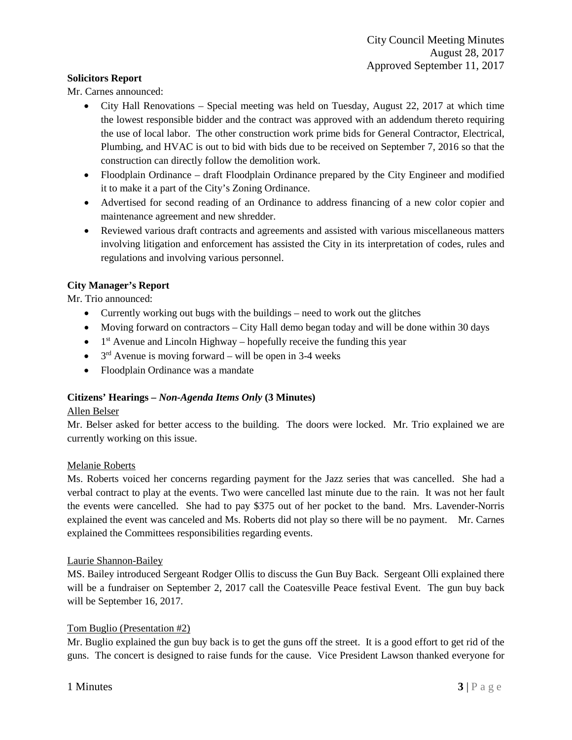### **Solicitors Report**

Mr. Carnes announced:

- City Hall Renovations Special meeting was held on Tuesday, August 22, 2017 at which time the lowest responsible bidder and the contract was approved with an addendum thereto requiring the use of local labor. The other construction work prime bids for General Contractor, Electrical, Plumbing, and HVAC is out to bid with bids due to be received on September 7, 2016 so that the construction can directly follow the demolition work.
- Floodplain Ordinance draft Floodplain Ordinance prepared by the City Engineer and modified it to make it a part of the City's Zoning Ordinance.
- Advertised for second reading of an Ordinance to address financing of a new color copier and maintenance agreement and new shredder.
- Reviewed various draft contracts and agreements and assisted with various miscellaneous matters involving litigation and enforcement has assisted the City in its interpretation of codes, rules and regulations and involving various personnel.

## **City Manager's Report**

Mr. Trio announced:

- Currently working out bugs with the buildings need to work out the glitches
- Moving forward on contractors City Hall demo began today and will be done within 30 days
- $\bullet$  1<sup>st</sup> Avenue and Lincoln Highway hopefully receive the funding this year
- $3<sup>rd</sup>$  Avenue is moving forward will be open in 3-4 weeks
- Floodplain Ordinance was a mandate

## **Citizens' Hearings –** *Non-Agenda Items Only* **(3 Minutes)**

### Allen Belser

Mr. Belser asked for better access to the building. The doors were locked. Mr. Trio explained we are currently working on this issue.

### Melanie Roberts

Ms. Roberts voiced her concerns regarding payment for the Jazz series that was cancelled. She had a verbal contract to play at the events. Two were cancelled last minute due to the rain. It was not her fault the events were cancelled. She had to pay \$375 out of her pocket to the band. Mrs. Lavender-Norris explained the event was canceled and Ms. Roberts did not play so there will be no payment. Mr. Carnes explained the Committees responsibilities regarding events.

### Laurie Shannon-Bailey

MS. Bailey introduced Sergeant Rodger Ollis to discuss the Gun Buy Back. Sergeant Olli explained there will be a fundraiser on September 2, 2017 call the Coatesville Peace festival Event. The gun buy back will be September 16, 2017.

## Tom Buglio (Presentation #2)

Mr. Buglio explained the gun buy back is to get the guns off the street. It is a good effort to get rid of the guns. The concert is designed to raise funds for the cause. Vice President Lawson thanked everyone for